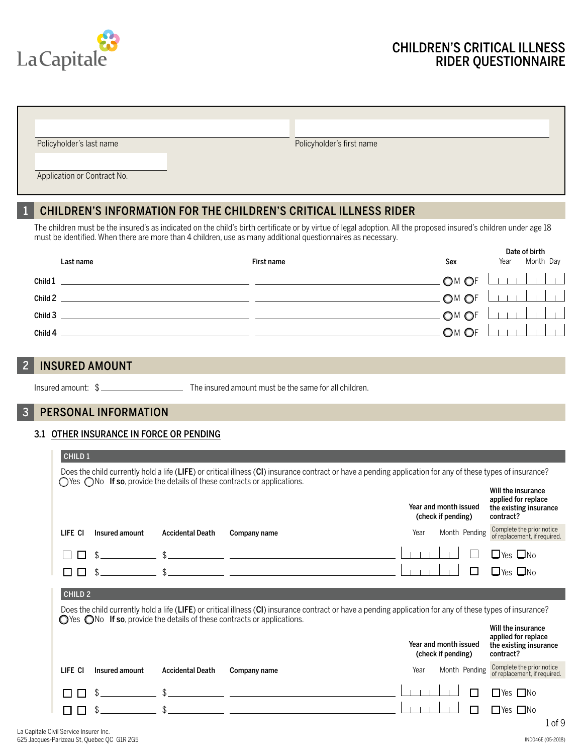

# CHILDREN'S CRITICAL ILLNESS RIDER QUESTIONNAIRE

| Policyholder's last name    | Policyholder's first name |  |
|-----------------------------|---------------------------|--|
|                             |                           |  |
| Application or Contract No. |                           |  |

# 1 CHILDREN'S INFORMATION FOR THE CHILDREN'S CRITICAL ILLNESS RIDER

The children must be the insured's as indicated on the child's birth certificate or by virtue of legal adoption. All the proposed insured's children under age 18 must be identified. When there are more than 4 children, use as many additional questionnaires as necessary.

|         | Last name | First name | Sex            | Year | Date of birth<br>Month Day |
|---------|-----------|------------|----------------|------|----------------------------|
| Child 1 |           |            | OM OF LILLLLLL |      |                            |
| Child 2 |           |            | OM OF          |      | $\Box$                     |
| Child 3 |           |            | $-$ OM OF      |      | $\Box$                     |
| Child 4 |           |            | $.$ OM OF      |      | $\Box$                     |

# 2 INSURED AMOUNT

Insured amount: \$ The insured amount must be the same for all children.

# 3 PERSONAL INFORMATION

#### 3.1 OTHER INSURANCE IN FORCE OR PENDING

| CHILD <sub>1</sub>                                                                                                                                                                                                                                        |                |                         |                                                                                                                                                                                                                                                           |                                             |                                                            |  |  |  |  |
|-----------------------------------------------------------------------------------------------------------------------------------------------------------------------------------------------------------------------------------------------------------|----------------|-------------------------|-----------------------------------------------------------------------------------------------------------------------------------------------------------------------------------------------------------------------------------------------------------|---------------------------------------------|------------------------------------------------------------|--|--|--|--|
| Does the child currently hold a life (LIFE) or critical illness (CI) insurance contract or have a pending application for any of these types of insurance?<br>$\bigcirc$ Yes $\bigcirc$ No If so, provide the details of these contracts or applications. |                |                         |                                                                                                                                                                                                                                                           |                                             |                                                            |  |  |  |  |
|                                                                                                                                                                                                                                                           |                |                         |                                                                                                                                                                                                                                                           |                                             | Will the insurance                                         |  |  |  |  |
|                                                                                                                                                                                                                                                           |                |                         |                                                                                                                                                                                                                                                           | Year and month issued<br>(check if pending) | applied for replace<br>the existing insurance<br>contract? |  |  |  |  |
| LIFE CI                                                                                                                                                                                                                                                   | Insured amount | <b>Accidental Death</b> | Company name                                                                                                                                                                                                                                              | Month Pending<br>Year                       | Complete the prior notice<br>of replacement, if required.  |  |  |  |  |
|                                                                                                                                                                                                                                                           |                |                         | <u> 1980 - Johann John Stone, markin film ar yn y brenin y brenin y brenin y brenin y brenin y brenin y brenin y</u>                                                                                                                                      |                                             | $\Box$ Yes $\Box$ No                                       |  |  |  |  |
|                                                                                                                                                                                                                                                           |                |                         | <u> 1989 - John Stein, mars and de Branch and de Branch and de Branch and de Branch and de Branch and de Branch a</u>                                                                                                                                     |                                             | $\Box$ Yes $\Box$ No                                       |  |  |  |  |
| CHILD <sub>2</sub>                                                                                                                                                                                                                                        |                |                         |                                                                                                                                                                                                                                                           |                                             |                                                            |  |  |  |  |
|                                                                                                                                                                                                                                                           |                |                         | Does the child currently hold a life (LIFE) or critical illness (CI) insurance contract or have a pending application for any of these types of insurance?<br>$\bigcirc$ Yes $\bigcirc$ No If so, provide the details of these contracts or applications. |                                             |                                                            |  |  |  |  |
|                                                                                                                                                                                                                                                           |                |                         |                                                                                                                                                                                                                                                           |                                             | Will the insurance                                         |  |  |  |  |
|                                                                                                                                                                                                                                                           |                |                         |                                                                                                                                                                                                                                                           | Year and month issued<br>(check if pending) | applied for replace<br>the existing insurance<br>contract? |  |  |  |  |
| LIFE CI                                                                                                                                                                                                                                                   | Insured amount | <b>Accidental Death</b> | Company name                                                                                                                                                                                                                                              | Month Pending<br>Year                       | Complete the prior notice<br>of replacement, if required.  |  |  |  |  |
|                                                                                                                                                                                                                                                           |                |                         |                                                                                                                                                                                                                                                           |                                             | $\Box$ Yes $\Box$ No                                       |  |  |  |  |
|                                                                                                                                                                                                                                                           |                |                         |                                                                                                                                                                                                                                                           |                                             | $\Box$ Yes $\Box$ No                                       |  |  |  |  |
|                                                                                                                                                                                                                                                           |                |                         |                                                                                                                                                                                                                                                           |                                             | . of 9                                                     |  |  |  |  |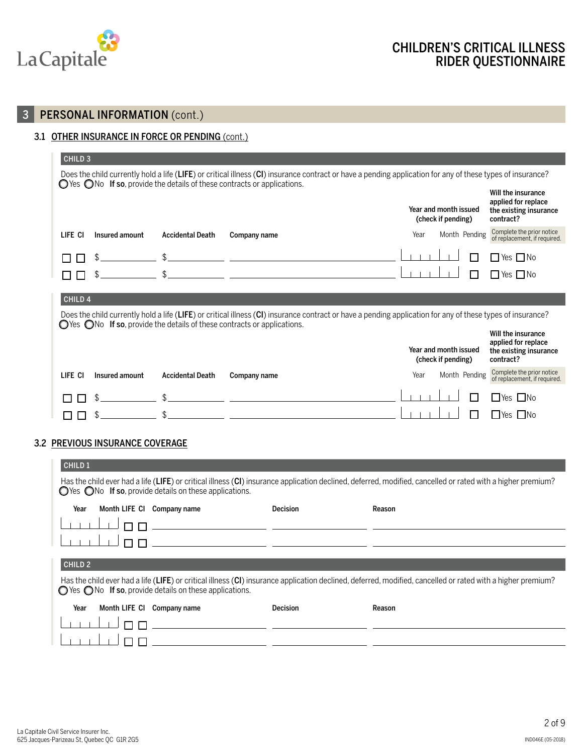

# 3 PERSONAL INFORMATION (cont.)

#### 3.1 OTHER INSURANCE IN FORCE OR PENDING (cont.)

| CHILD <sub>3</sub>                                                                                                                                                                                                                                        |                |                         |                                                                                                                                                                                                                                                           |                                             |                                                                                  |  |  |  |
|-----------------------------------------------------------------------------------------------------------------------------------------------------------------------------------------------------------------------------------------------------------|----------------|-------------------------|-----------------------------------------------------------------------------------------------------------------------------------------------------------------------------------------------------------------------------------------------------------|---------------------------------------------|----------------------------------------------------------------------------------|--|--|--|
| Does the child currently hold a life (LIFE) or critical illness (CI) insurance contract or have a pending application for any of these types of insurance?<br>$\bigcirc$ Yes $\bigcirc$ No If so, provide the details of these contracts or applications. |                |                         |                                                                                                                                                                                                                                                           |                                             |                                                                                  |  |  |  |
|                                                                                                                                                                                                                                                           |                |                         |                                                                                                                                                                                                                                                           | Year and month issued<br>(check if pending) | Will the insurance<br>applied for replace<br>the existing insurance<br>contract? |  |  |  |
| LIFE CI                                                                                                                                                                                                                                                   | Insured amount | <b>Accidental Death</b> | Company name                                                                                                                                                                                                                                              | Month Pending<br>Year                       | Complete the prior notice<br>of replacement, if required.                        |  |  |  |
|                                                                                                                                                                                                                                                           |                |                         | <u> 1989 - Johann John Stein, mars an deus Amerikaanse kommunister († 1958)</u>                                                                                                                                                                           |                                             | Yes I INo                                                                        |  |  |  |
|                                                                                                                                                                                                                                                           |                |                         | <u> 1980 - Jan James James, martin amerikan basar dan berasal dan berasal dan berasal dan berasal dan berasal dan</u>                                                                                                                                     |                                             | □Yes □No                                                                         |  |  |  |
| CHILD <sub>4</sub>                                                                                                                                                                                                                                        |                |                         |                                                                                                                                                                                                                                                           |                                             |                                                                                  |  |  |  |
|                                                                                                                                                                                                                                                           |                |                         | Does the child currently hold a life (LIFE) or critical illness (CI) insurance contract or have a pending application for any of these types of insurance?<br>$\bigcirc$ Yes $\bigcirc$ No If so, provide the details of these contracts or applications. |                                             |                                                                                  |  |  |  |
|                                                                                                                                                                                                                                                           |                |                         |                                                                                                                                                                                                                                                           | Year and month issued<br>(check if pending) | Will the insurance<br>applied for replace<br>the existing insurance<br>contract? |  |  |  |
| LIFE CI                                                                                                                                                                                                                                                   | Insured amount | <b>Accidental Death</b> | Company name                                                                                                                                                                                                                                              | Month Pending<br>Year                       | Complete the prior notice<br>of replacement, if required.                        |  |  |  |
|                                                                                                                                                                                                                                                           |                |                         |                                                                                                                                                                                                                                                           |                                             | lYes I INo                                                                       |  |  |  |
|                                                                                                                                                                                                                                                           |                |                         |                                                                                                                                                                                                                                                           |                                             | <b>IYes</b><br>l INo                                                             |  |  |  |

#### 3.2 PREVIOUS INSURANCE COVERAGE

| <b>CHILD 1</b>                                                                                                                                                                                                                            |  |                                                                                                                      |                 |        |  |  |  |  |  |
|-------------------------------------------------------------------------------------------------------------------------------------------------------------------------------------------------------------------------------------------|--|----------------------------------------------------------------------------------------------------------------------|-----------------|--------|--|--|--|--|--|
| Has the child ever had a life (LIFE) or critical illness (CI) insurance application declined, deferred, modified, cancelled or rated with a higher premium?<br>$\bigcirc$ Yes $\bigcirc$ No If so, provide details on these applications. |  |                                                                                                                      |                 |        |  |  |  |  |  |
| Year                                                                                                                                                                                                                                      |  | Month LIFE CI Company name                                                                                           | <b>Decision</b> | Reason |  |  |  |  |  |
|                                                                                                                                                                                                                                           |  | <u> 1989 - Johann Barn, amerikansk politiker (d. 1989)</u>                                                           |                 |        |  |  |  |  |  |
|                                                                                                                                                                                                                                           |  | <u> 1980 - Jan James James, politik eta politik eta politik eta politik eta politik eta politik eta politik eta </u> |                 |        |  |  |  |  |  |
|                                                                                                                                                                                                                                           |  |                                                                                                                      |                 |        |  |  |  |  |  |
| <b>CHILD 2</b>                                                                                                                                                                                                                            |  |                                                                                                                      |                 |        |  |  |  |  |  |
| Has the child ever had a life (LIFE) or critical illness (CI) insurance application declined, deferred, modified, cancelled or rated with a higher premium?<br>◯ Yes ◯ No If so, provide details on these applications.                   |  |                                                                                                                      |                 |        |  |  |  |  |  |
| Year                                                                                                                                                                                                                                      |  | Month LIFE CI Company name                                                                                           | <b>Decision</b> | Reason |  |  |  |  |  |
|                                                                                                                                                                                                                                           |  |                                                                                                                      |                 |        |  |  |  |  |  |
|                                                                                                                                                                                                                                           |  |                                                                                                                      |                 |        |  |  |  |  |  |
|                                                                                                                                                                                                                                           |  |                                                                                                                      |                 |        |  |  |  |  |  |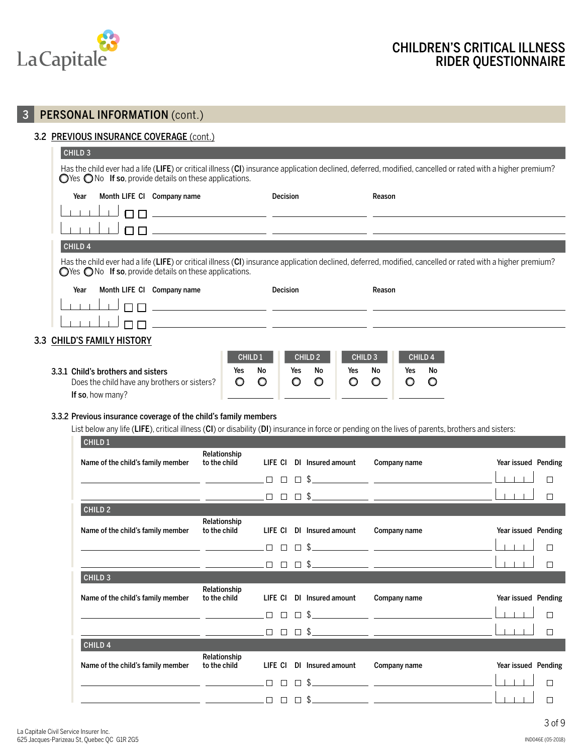

CHILD 3

# 3 PERSONAL INFORMATION (cont.)

#### 3.2 PREVIOUS INSURANCE COVERAGE (cont.)

| ____                                                                                                                                                                                                                                      |                                                                            |                 |                                                                                                                                                             |  |  |  |  |  |  |
|-------------------------------------------------------------------------------------------------------------------------------------------------------------------------------------------------------------------------------------------|----------------------------------------------------------------------------|-----------------|-------------------------------------------------------------------------------------------------------------------------------------------------------------|--|--|--|--|--|--|
| Has the child ever had a life (LIFE) or critical illness (CI) insurance application declined, deferred, modified, cancelled or rated with a higher premium?<br>$\bigcirc$ Yes $\bigcirc$ No If so, provide details on these applications. |                                                                            |                 |                                                                                                                                                             |  |  |  |  |  |  |
| Year                                                                                                                                                                                                                                      | Month LIFE CI Company name                                                 | <b>Decision</b> | Reason                                                                                                                                                      |  |  |  |  |  |  |
|                                                                                                                                                                                                                                           |                                                                            |                 |                                                                                                                                                             |  |  |  |  |  |  |
|                                                                                                                                                                                                                                           |                                                                            |                 |                                                                                                                                                             |  |  |  |  |  |  |
|                                                                                                                                                                                                                                           |                                                                            |                 |                                                                                                                                                             |  |  |  |  |  |  |
| CHILD <sub>4</sub>                                                                                                                                                                                                                        |                                                                            |                 |                                                                                                                                                             |  |  |  |  |  |  |
|                                                                                                                                                                                                                                           | $\bigcirc$ Yes $\bigcirc$ No If so, provide details on these applications. |                 | Has the child ever had a life (LIFE) or critical illness (CI) insurance application declined, deferred, modified, cancelled or rated with a higher premium? |  |  |  |  |  |  |
| Year                                                                                                                                                                                                                                      | Month LIFE CI Company name                                                 | <b>Decision</b> | Reason                                                                                                                                                      |  |  |  |  |  |  |
|                                                                                                                                                                                                                                           |                                                                            |                 |                                                                                                                                                             |  |  |  |  |  |  |
|                                                                                                                                                                                                                                           |                                                                            |                 |                                                                                                                                                             |  |  |  |  |  |  |
|                                                                                                                                                                                                                                           |                                                                            |                 |                                                                                                                                                             |  |  |  |  |  |  |

#### 3.3 CHILD'S FAMILY HISTORY

|                                                                                                        | <b>CHILD 1</b>         |    | CHILD <sub>2</sub> |               |          | CHILD <sub>3</sub> | CHILD <sub>4</sub> |    |  |
|--------------------------------------------------------------------------------------------------------|------------------------|----|--------------------|---------------|----------|--------------------|--------------------|----|--|
| 3.3.1 Child's brothers and sisters<br>Does the child have any brothers or sisters?<br>If so, how many? | Yes<br>$\circ$ $\circ$ | No | Yes<br>$\circ$     | No<br>$\circ$ | Yes<br>O | No                 | Yes                | No |  |

#### 3.3.2 Previous insurance coverage of the child's family members

List below any life (LIFE), critical illness (CI) or disability (DI) insurance in force or pending on the lives of parents, brothers and sisters:

| CHILD <sub>1</sub>                                                                                              |                              |             |                   |                                                                                                                                                                                                                                                                                                                     |                     |
|-----------------------------------------------------------------------------------------------------------------|------------------------------|-------------|-------------------|---------------------------------------------------------------------------------------------------------------------------------------------------------------------------------------------------------------------------------------------------------------------------------------------------------------------|---------------------|
| Name of the child's family member                                                                               | Relationship<br>to the child | LIFE CI     | DI Insured amount | Company name                                                                                                                                                                                                                                                                                                        | Year issued Pending |
| <u> 1980 - Johann Barbara, politik eta politikar</u>                                                            |                              | $\Box$<br>П | $\Box$            | $\frac{1}{2}$ $\frac{1}{2}$ $\frac{1}{2}$ $\frac{1}{2}$ $\frac{1}{2}$ $\frac{1}{2}$ $\frac{1}{2}$ $\frac{1}{2}$ $\frac{1}{2}$ $\frac{1}{2}$ $\frac{1}{2}$ $\frac{1}{2}$ $\frac{1}{2}$ $\frac{1}{2}$ $\frac{1}{2}$ $\frac{1}{2}$ $\frac{1}{2}$ $\frac{1}{2}$ $\frac{1}{2}$ $\frac{1}{2}$ $\frac{1}{2}$ $\frac{1}{2}$ |                     |
|                                                                                                                 |                              |             | $\Box$            | $\frac{1}{2}$ $\frac{1}{2}$ $\frac{1}{2}$ $\frac{1}{2}$ $\frac{1}{2}$ $\frac{1}{2}$ $\frac{1}{2}$ $\frac{1}{2}$ $\frac{1}{2}$ $\frac{1}{2}$ $\frac{1}{2}$ $\frac{1}{2}$ $\frac{1}{2}$ $\frac{1}{2}$ $\frac{1}{2}$ $\frac{1}{2}$ $\frac{1}{2}$ $\frac{1}{2}$ $\frac{1}{2}$ $\frac{1}{2}$ $\frac{1}{2}$ $\frac{1}{2}$ | Г                   |
| CHILD <sub>2</sub>                                                                                              |                              |             |                   |                                                                                                                                                                                                                                                                                                                     |                     |
| Name of the child's family member                                                                               | Relationship<br>to the child | life ci     | DI Insured amount | Company name                                                                                                                                                                                                                                                                                                        | Year issued Pending |
|                                                                                                                 |                              | П           | $\Box$            | $\frac{1}{2}$                                                                                                                                                                                                                                                                                                       |                     |
|                                                                                                                 |                              |             |                   |                                                                                                                                                                                                                                                                                                                     | Г                   |
| CHILD <sub>3</sub>                                                                                              |                              |             |                   |                                                                                                                                                                                                                                                                                                                     |                     |
| Name of the child's family member                                                                               | Relationship<br>to the child | LIFE CI     | DI Insured amount | Company name                                                                                                                                                                                                                                                                                                        | Year issued Pending |
|                                                                                                                 |                              | $\Box$      |                   |                                                                                                                                                                                                                                                                                                                     |                     |
|                                                                                                                 |                              |             |                   |                                                                                                                                                                                                                                                                                                                     | $-1 - 1 - 1$        |
| CHILD <sub>4</sub>                                                                                              |                              |             |                   |                                                                                                                                                                                                                                                                                                                     |                     |
| Name of the child's family member                                                                               | Relationship<br>to the child | life ci     | DI Insured amount | Company name                                                                                                                                                                                                                                                                                                        | Year issued Pending |
| the contract of the contract of the contract of the contract of the contract of the contract of the contract of |                              | $\Box$      | $\Box$            | $\frac{1}{2}$ $\frac{1}{2}$ $\frac{1}{2}$ $\frac{1}{2}$ $\frac{1}{2}$ $\frac{1}{2}$ $\frac{1}{2}$ $\frac{1}{2}$ $\frac{1}{2}$ $\frac{1}{2}$ $\frac{1}{2}$ $\frac{1}{2}$ $\frac{1}{2}$ $\frac{1}{2}$ $\frac{1}{2}$ $\frac{1}{2}$ $\frac{1}{2}$ $\frac{1}{2}$ $\frac{1}{2}$ $\frac{1}{2}$ $\frac{1}{2}$ $\frac{1}{2}$ |                     |
|                                                                                                                 |                              | П<br>П      | □                 | $\frac{1}{2}$                                                                                                                                                                                                                                                                                                       |                     |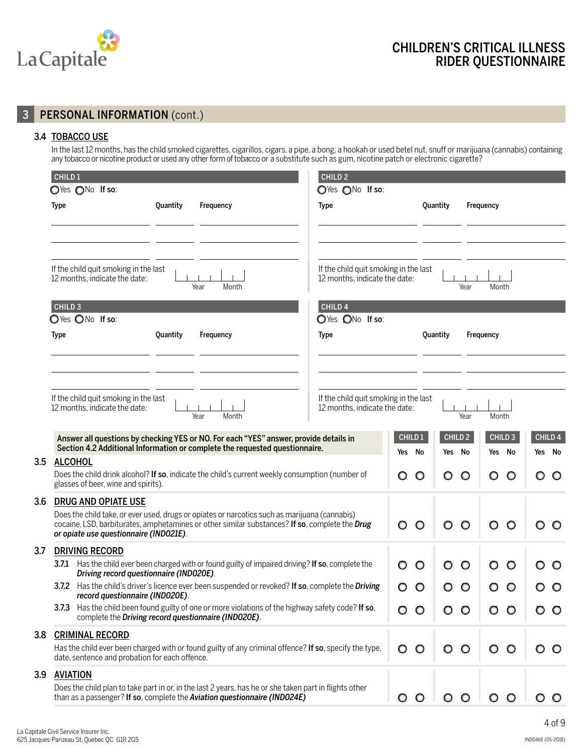

# 3 **PERSONAL INFORMATION** (cont.)

#### 3.4 TOBACCO USE

In the last 12 months, has the child smoked cigarettes, cigarillos, cigars, a pipe, a bong, a hookah or used betel nut, snuff or marijuana (cannabis) containing any tobacco or nicotine product or used any other form of tobacco or a substitute such as gum, nicotine patch or electronic cigarette?

| CHILD <sub>1</sub><br>CHILD <sub>2</sub>                                                                                                                                                                                                  |                   |          |                              |                                 |                              |
|-------------------------------------------------------------------------------------------------------------------------------------------------------------------------------------------------------------------------------------------|-------------------|----------|------------------------------|---------------------------------|------------------------------|
| OYes ONo If so:<br>OYes ONo If so:                                                                                                                                                                                                        |                   |          |                              |                                 |                              |
| Quantity<br><b>Type</b><br>Type<br>Frequency                                                                                                                                                                                              |                   | Quantity |                              | Frequency                       |                              |
|                                                                                                                                                                                                                                           |                   |          |                              |                                 |                              |
| If the child quit smoking in the last<br>If the child quit smoking in the last<br>12 months, indicate the date:<br>12 months, indicate the date:<br>Year<br>Month                                                                         |                   |          | Year                         | Month                           |                              |
| CHILD <sub>3</sub><br>CHILD 4<br>OYes ONo If so:<br>OYes ONo If so:                                                                                                                                                                       |                   |          |                              |                                 |                              |
| Quantity<br><b>Type</b><br>Frequency<br><b>Type</b>                                                                                                                                                                                       |                   | Quantity |                              | Frequency                       |                              |
| If the child quit smoking in the last<br>If the child quit smoking in the last                                                                                                                                                            |                   |          |                              |                                 |                              |
| 12 months, indicate the date:<br>12 months, indicate the date:<br>Month<br>Year                                                                                                                                                           |                   |          | Year                         | Month                           |                              |
| Answer all questions by checking YES or NO. For each "YES" answer, provide details in<br>Section 4.2 Additional Information or complete the requested questionnaire.                                                                      | CHILD 1<br>Yes No |          | CHILD <sub>2</sub><br>Yes No | CHILD <sub>3</sub><br>No<br>Yes | CHILD <sub>4</sub><br>Yes No |
| <b>ALCOHOL</b><br>3.5<br>Does the child drink alcohol? If so, indicate the child's current weekly consumption (number of<br>glasses of beer, wine and spirits).                                                                           | $\circ$           | $\circ$  | O<br>O                       | O<br>O                          | O                            |
| 3.6<br><b>DRUG AND OPIATE USE</b>                                                                                                                                                                                                         |                   |          |                              |                                 |                              |
| Does the child take, or ever used, drugs or opiates or narcotics such as marijuana (cannabis)<br>cocaine, LSD, barbiturates, amphetamines or other similar substances? If so, complete the Drug<br>or opiate use questionnaire (IND021E). | $\circ$           | $\circ$  | O<br>O                       | O<br>$\circ$                    | $\circ$                      |
| 3.7<br><b>DRIVING RECORD</b>                                                                                                                                                                                                              |                   |          |                              |                                 |                              |
| Has the child ever been charged with or found guilty of impaired driving? If so, complete the<br>3.7.1<br>Driving record questionnaire (IND020E).                                                                                         | $\circ$           | $\circ$  | O<br>O                       | O<br>O                          | $\circ$                      |
| 3.7.2 Has the child's driver's licence ever been suspended or revoked? If so, complete the Driving<br>record questionnaire (INDO2OE).                                                                                                     | O                 | $\circ$  | O<br>O                       | O<br>$\circ$                    | O                            |
| 3.7.3 Has the child been found guilty of one or more violations of the highway safety code? If so,<br>complete the Driving record questionnaire (IND020E).                                                                                | O                 | O        |                              |                                 |                              |
| 3.8<br><b>CRIMINAL RECORD</b>                                                                                                                                                                                                             |                   |          |                              |                                 |                              |
| Has the child ever been charged with or found guilty of any criminal offence? If so, specify the type,<br>date, sentence and probation for each offence.                                                                                  | $\circ$           | $\circ$  | O<br>O                       | O<br>$\circ$                    | $\circ$                      |
| 3.9<br><b>AVIATION</b>                                                                                                                                                                                                                    |                   |          |                              |                                 |                              |
| Does the child plan to take part in or, in the last 2 years, has he or she taken part in flights other<br>than as a passenger? If so, complete the Aviation questionnaire (IND024E)                                                       | $\circ$           | $\circ$  |                              |                                 |                              |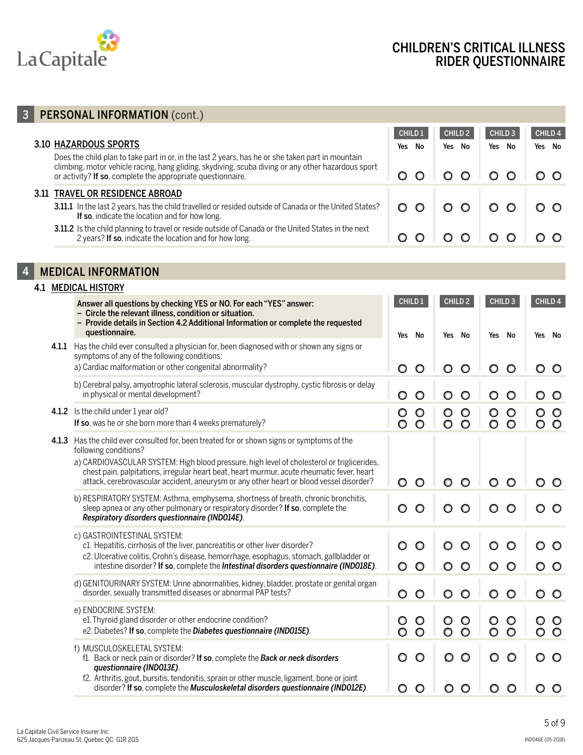

# 3 PERSONAL INFORMATION (cont.)

|                                                                                                                                                                                                                                                                        | <b>CHILD 1</b> | CHILD <sub>2</sub> | CHILD <sub>3</sub> | CHILD <sub>4</sub> |
|------------------------------------------------------------------------------------------------------------------------------------------------------------------------------------------------------------------------------------------------------------------------|----------------|--------------------|--------------------|--------------------|
| <b>3.10 HAZARDOUS SPORTS</b>                                                                                                                                                                                                                                           | Yes<br>No      | Yes<br>No          | Yes<br>No          | Yes No             |
| Does the child plan to take part in or, in the last 2 years, has he or she taken part in mountain<br>climbing, motor vehicle racing, hang gliding, skydiving, scuba diving or any other hazardous sport<br>or activity? If so, complete the appropriate questionnaire. | O              |                    | 00100              | $\circ$ $\circ$    |
| 3.11 TRAVEL OR RESIDENCE ABROAD                                                                                                                                                                                                                                        |                |                    |                    |                    |
| 3.11.1 In the last 2 years, has the child travelled or resided outside of Canada or the United States?<br>If so, indicate the location and for how long.                                                                                                               | $\circ$<br>O.  | $\circ$ $\circ$    | $\circ$ $\circ$    | o o                |
| 3.11.2 Is the child planning to travel or reside outside of Canada or the United States in the next<br>2 years? If so, indicate the location and for how long.                                                                                                         |                | $\circ$ $\circ$    | $\overline{1}$ O O |                    |

# 4 MEDICAL INFORMATION

|  | <b>4.1 MEDICAL HISTORY</b>                                                                                                                                                                                                                                                                                                                                                                                 |                                          |                                          |                                          |                                    |
|--|------------------------------------------------------------------------------------------------------------------------------------------------------------------------------------------------------------------------------------------------------------------------------------------------------------------------------------------------------------------------------------------------------------|------------------------------------------|------------------------------------------|------------------------------------------|------------------------------------|
|  | Answer all questions by checking YES or NO. For each "YES" answer:<br>- Circle the relevant illness, condition or situation.<br>- Provide details in Section 4.2 Additional Information or complete the requested<br>questionnaire.                                                                                                                                                                        | CHILD 1<br>Yes No                        | CHILD <sub>2</sub><br>Yes No             | CHILD <sub>3</sub><br>Yes No             | CHILD <sub>4</sub><br>Yes No       |
|  | 4.1.1 Has the child ever consulted a physician for, been diagnosed with or shown any signs or<br>symptoms of any of the following conditions:<br>a) Cardiac malformation or other congenital abnormality?                                                                                                                                                                                                  | $\circ$<br>$\circ$                       | $\circ$<br>O                             | $\circ$<br>$\circ$                       | O<br>$\circ$                       |
|  | b) Cerebral palsy, amyotrophic lateral sclerosis, muscular dystrophy, cystic fibrosis or delay<br>in physical or mental development?                                                                                                                                                                                                                                                                       | $\circ$<br>$\circ$                       | $\circ$<br>O                             | $\circ$<br>O                             | $\circ$<br>O                       |
|  | 4.1.2 Is the child under 1 year old?<br>If so, was he or she born more than 4 weeks prematurely?                                                                                                                                                                                                                                                                                                           | $\circ$<br>$\circ$<br>$\circ$<br>$\circ$ | $\circ$<br>$\circ$<br>$\circ$<br>$\circ$ | $\circ$<br>$\circ$<br>$\circ$<br>$\circ$ | $\circ$<br>O<br>$\circ$<br>$\circ$ |
|  | 4.1.3 Has the child ever consulted for, been treated for or shown signs or symptoms of the<br>following conditions?<br>a) CARDIOVASCULAR SYSTEM: High blood pressure, high level of cholesterol or triglicerides,<br>chest pain, palpitations, irregular heart beat, heart murmur, acute rheumatic fever, heart<br>attack, cerebrovascular accident, aneurysm or any other heart or blood vessel disorder? | $\circ$<br>$\circ$                       | O<br>O                                   | $\circ$<br>O                             | $\circ$<br>O                       |
|  | b) RESPIRATORY SYSTEM: Asthma, emphysema, shortness of breath, chronic bronchitis,<br>sleep apnea or any other pulmonary or respiratory disorder? If so, complete the<br>Respiratory disorders questionnaire (IND014E).                                                                                                                                                                                    | $\circ$<br>O                             | O<br>O                                   | O<br>$\circ$                             |                                    |
|  | c) GASTROINTESTINAL SYSTEM:<br>c1. Hepatitis, cirrhosis of the liver, pancreatitis or other liver disorder?<br>c2. Ulcerative colitis, Crohn's disease, hemorrhage, esophagus, stomach, gallbladder or<br>intestine disorder? If so, complete the Intestinal disorders questionnaire (IND018E).                                                                                                            | $\circ$<br>$\circ$<br>$\circ$<br>$\circ$ | $\circ$<br>$\circ$<br>O                  | $\circ$<br>$\circ$<br>$\circ$<br>O       | $\circ$<br>$\circ$<br>O            |
|  | d) GENITOURINARY SYSTEM: Urine abnormalities, kidney, bladder, prostate or genital organ<br>disorder, sexually transmitted diseases or abnormal PAP tests?                                                                                                                                                                                                                                                 | $\circ$<br>$\circ$                       | $\circ$<br>O                             | $\circ$<br>$\circ$                       | $\circ$<br>O                       |
|  | e) ENDOCRINE SYSTEM:<br>e1. Thyroid gland disorder or other endocrine condition?<br>e2. Diabetes? If so, complete the Diabetes questionnaire (IND015E).                                                                                                                                                                                                                                                    | $\circ$<br>O<br>$\circ$<br>O             | $\circ$<br>O<br>$\circ$<br>O             | O<br>$\circ$<br>$\circ$<br>O             | $\circ$<br>$\circ$<br>O            |
|  | f) MUSCULOSKELETAL SYSTEM:<br>f1. Back or neck pain or disorder? If so, complete the Back or neck disorders<br>questionnaire (IND013E).                                                                                                                                                                                                                                                                    | $\circ$<br>$\circ$                       | $\circ$<br>O                             | $\circ$<br>$\circ$                       | $\circ$<br>O                       |
|  | f2. Arthritis, gout, bursitis, tendonitis, sprain or other muscle, ligament, bone or joint<br>disorder? If so, complete the Musculoskeletal disorders questionnaire (IND012E).                                                                                                                                                                                                                             | $\circ$<br>O                             | O<br>O                                   | $\circ$<br>O                             | $\circ$<br>O                       |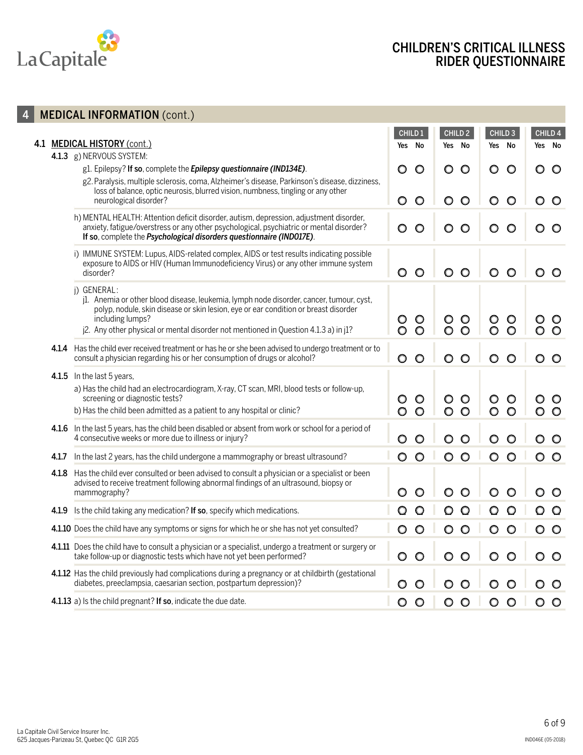

# CHILDREN'S CRITICAL ILLNESS RIDER QUESTIONNAIRE

 $\circ$ 

 $\circ$ 

 $\circ$ 

 $\overline{0}$ 

 $\circ$ 

 $\circ$ 

 $\circ$  $\circ$ 

 $\circ$  $\overline{\circ}$  $\circ$ 

 $\circ$ 

 $\circ$ 

|       | <b>MEDICAL INFORMATION (cont.)</b>                                                                                                                                                                                                                                                                       |                                    |                               |                                      |                               |
|-------|----------------------------------------------------------------------------------------------------------------------------------------------------------------------------------------------------------------------------------------------------------------------------------------------------------|------------------------------------|-------------------------------|--------------------------------------|-------------------------------|
| 4.1   | <b>MEDICAL HISTORY (cont.)</b>                                                                                                                                                                                                                                                                           | CHILD <sub>1</sub><br>Yes No       | CHILD <sub>2</sub><br>Yes No  | CHILD <sub>3</sub><br>Yes No         | CHILD <sub>4</sub><br>Yes No  |
|       | 4.1.3 g) NERVOUS SYSTEM:<br>g1. Epilepsy? If so, complete the Epilepsy questionnaire (IND134E).<br>g2. Paralysis, multiple sclerosis, coma, Alzheimer's disease, Parkinson's disease, dizziness,<br>loss of balance, optic neurosis, blurred vision, numbness, tingling or any other                     | $\circ$<br>O                       | O<br>$\circ$                  | $\circ$<br>O                         | $\circ$<br>O                  |
|       | neurological disorder?<br>h) MENTAL HEALTH: Attention deficit disorder, autism, depression, adjustment disorder,<br>anxiety, fatigue/overstress or any other psychological, psychiatric or mental disorder?                                                                                              | O<br>O<br>O<br>O                   | $\circ$<br>O<br>$\circ$<br>O  | $\circ$<br>O<br>$\circ$<br>O         | $\circ$<br>O<br>$\circ$<br>O  |
|       | If so, complete the Psychological disorders questionnaire (IND017E).<br>i) IMMUNE SYSTEM: Lupus, AIDS-related complex, AIDS or test results indicating possible<br>exposure to AIDS or HIV (Human Immunodeficiency Virus) or any other immune system<br>disorder?                                        | $\circ$<br>O                       | $\circ$<br>O                  | O<br>$\circ$                         | $\circ$                       |
|       | j) GENERAL:<br>j1. Anemia or other blood disease, leukemia, lymph node disorder, cancer, tumour, cyst,<br>polyp, nodule, skin disease or skin lesion, eye or ear condition or breast disorder<br>including lumps?<br>j2. Any other physical or mental disorder not mentioned in Question 4.1.3 a) in j1? | $\circ$<br>$\circ$                 | $\circ$<br>$\circ$<br>$\circ$ | $\circ$<br>$\circ$<br>$\overline{O}$ | $\overline{O}$                |
|       | 4.1.4 Has the child ever received treatment or has he or she been advised to undergo treatment or to<br>consult a physician regarding his or her consumption of drugs or alcohol?                                                                                                                        | $\circ$<br>O                       | $\circ$<br>O                  | $\circ$<br>O                         | $\circ$                       |
|       | 4.1.5 In the last 5 years,<br>a) Has the child had an electrocardiogram, X-ray, CT scan, MRI, blood tests or follow-up,<br>screening or diagnostic tests?<br>b) Has the child been admitted as a patient to any hospital or clinic?                                                                      | $\circ$<br>O<br>$\circ$<br>$\circ$ | $\circ$<br>$\circ$<br>$\circ$ | O<br>$\circ$<br>$\circ$              | $\circ$<br>$\circ$<br>$\circ$ |
|       | 4.1.6 In the last 5 years, has the child been disabled or absent from work or school for a period of<br>4 consecutive weeks or more due to illness or injury?                                                                                                                                            | O<br>O                             | O                             | O<br>O                               | $\circ$                       |
| 4.1.7 | In the last 2 years, has the child undergone a mammography or breast ultrasound?                                                                                                                                                                                                                         | $\circ$<br>$\circ$                 | $\circ$<br>$\circ$            | $\circ$<br>$\circ$                   | $\circ$<br>$\circ$            |
|       | 4.1.8 Has the child ever consulted or been advised to consult a physician or a specialist or been<br>advised to receive treatment following abnormal findings of an ultrasound, biopsy or<br>mammography?                                                                                                | O<br>O                             | O                             | O                                    | $\circ$                       |
| 4.1.9 | Is the child taking any medication? If so, specify which medications.                                                                                                                                                                                                                                    |                                    |                               |                                      | $\circ$                       |
|       | 4.1.10 Does the child have any symptoms or signs for which he or she has not yet consulted?                                                                                                                                                                                                              | $\circ$<br>O                       | O<br>O                        | O<br>$\circ$                         | $\circ$<br>O                  |
|       | 4.1.11 Does the child have to consult a physician or a specialist, undergo a treatment or surgery or<br>take follow-up or diagnostic tests which have not yet been performed?                                                                                                                            |                                    |                               | $\circ$                              | $\circ$ $\circ$               |
|       | 4.1.12 Has the child previously had complications during a pregnancy or at childbirth (gestational<br>diabetes, preeclampsia, caesarian section, postpartum depression)?                                                                                                                                 |                                    |                               |                                      |                               |
|       | 4.1.13 a) Is the child pregnant? If so, indicate the due date.                                                                                                                                                                                                                                           | $\circ$<br>$\circ$                 | $\circ$<br>$\circ$            | $\circ$<br>$\circ$                   | $\circ$ $\circ$               |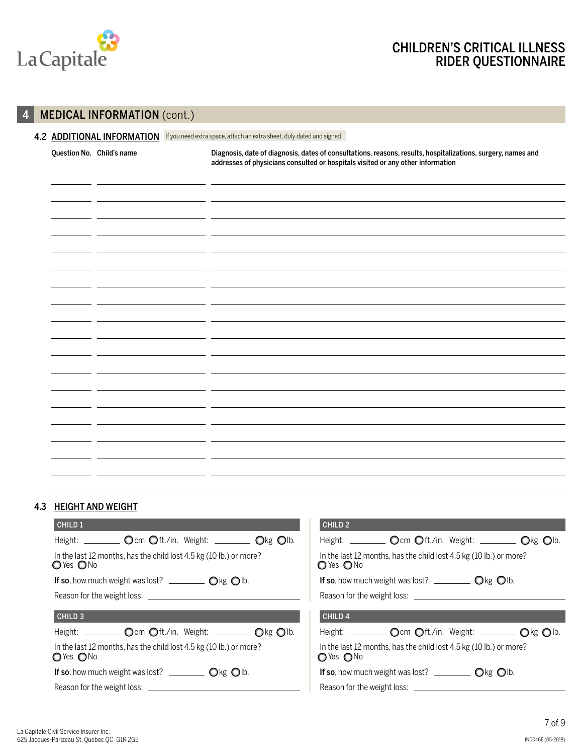

## 4 **MEDICAL INFORMATION** (cont.)

# 4.2 ADDITIONAL INFORMATION If you need extra space, attach an extra sheet, duly dated and signed. Question No. Child's name Diagnosis, date of diagnosis, dates of consultations, reasons, results, hospitalizations, surgery, names and addresses of physicians consulted or hospitals visited or any other information

#### 4.3 HEIGHT AND WEIGHT

| CHILD <sub>1</sub>                                                                 | CHILD <sub>2</sub>                                                                 |  |  |  |  |  |
|------------------------------------------------------------------------------------|------------------------------------------------------------------------------------|--|--|--|--|--|
| Height: _________ Ocm Oft./in. Weight: ________ Okg Olb.                           | Height: _________ Ocm Oft./in. Weight: ________ Okg Olb.                           |  |  |  |  |  |
| In the last 12 months, has the child lost 4.5 kg (10 lb.) or more?<br>OYes ONo     | In the last 12 months, has the child lost 4.5 kg (10 lb.) or more?<br>O Yes ONo    |  |  |  |  |  |
|                                                                                    | If so, how much weight was lost? $\Box$ $\Box$ $\Box$ $\Diamond$ kg $\Diamond$ lb. |  |  |  |  |  |
|                                                                                    | Reason for the weight loss:                                                        |  |  |  |  |  |
| CHILD <sub>3</sub>                                                                 | CHILD <sub>4</sub>                                                                 |  |  |  |  |  |
| Height: _________ Ocm Oft./in. Weight: ________ Okg Olb.                           | Height: __________ Ocm Oft./in. Weight: _________ Okg Olb.                         |  |  |  |  |  |
| In the last 12 months, has the child lost 4.5 kg (10 lb.) or more?<br>OYes ONo     | In the last 12 months, has the child lost 4.5 kg (10 lb.) or more?<br>OYes ONo     |  |  |  |  |  |
| If so, how much weight was lost? $\Box$ $\Box$ $\Box$ $\Diamond$ kg $\Diamond$ Ib. | If so, how much weight was lost? $\Box$ $\Box$ $\Box$ $\Diamond$ kg $\Diamond$ Ib. |  |  |  |  |  |
|                                                                                    |                                                                                    |  |  |  |  |  |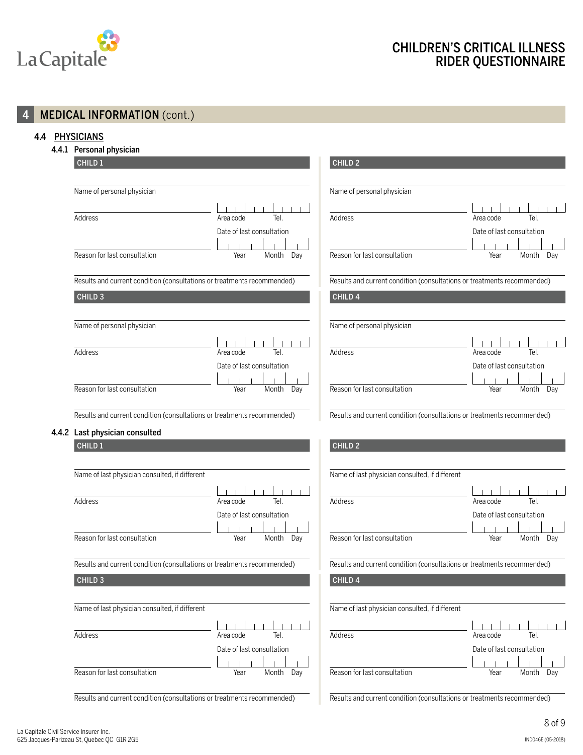

## 4 MEDICAL INFORMATION (cont.)

#### 4.4 PHYSICIANS

4.4.1 Personal physician

| CHILD <sub>1</sub>                                                      |                           | CHILD <sub>2</sub>                                                      |                           |  |  |  |
|-------------------------------------------------------------------------|---------------------------|-------------------------------------------------------------------------|---------------------------|--|--|--|
| Name of personal physician                                              |                           | Name of personal physician                                              |                           |  |  |  |
|                                                                         |                           |                                                                         |                           |  |  |  |
| Address                                                                 | Tel.<br>Area code         | Address                                                                 | Tel.<br>Area code         |  |  |  |
|                                                                         | Date of last consultation |                                                                         | Date of last consultation |  |  |  |
|                                                                         |                           |                                                                         |                           |  |  |  |
| Reason for last consultation                                            | Year<br>Month<br>Day      | Reason for last consultation                                            | Year<br>Month<br>Day      |  |  |  |
|                                                                         |                           |                                                                         |                           |  |  |  |
| Results and current condition (consultations or treatments recommended) |                           | Results and current condition (consultations or treatments recommended) |                           |  |  |  |
| CHILD <sub>3</sub>                                                      |                           | CHILD <sub>4</sub>                                                      |                           |  |  |  |
|                                                                         |                           | Name of personal physician                                              |                           |  |  |  |
| Name of personal physician                                              |                           |                                                                         |                           |  |  |  |
| Address                                                                 | Tel.<br>Area code         | Address                                                                 | Area code<br>Tel.         |  |  |  |
|                                                                         |                           |                                                                         |                           |  |  |  |
|                                                                         | Date of last consultation |                                                                         | Date of last consultation |  |  |  |
| Reason for last consultation                                            | Year<br>Month<br>Day      | Reason for last consultation                                            | Year<br>Month<br>Day      |  |  |  |
|                                                                         |                           |                                                                         |                           |  |  |  |
| Results and current condition (consultations or treatments recommended) |                           | Results and current condition (consultations or treatments recommended) |                           |  |  |  |
| 4.4.2 Last physician consulted                                          |                           |                                                                         |                           |  |  |  |
| CHILD <sub>1</sub>                                                      |                           | CHILD <sub>2</sub>                                                      |                           |  |  |  |
|                                                                         |                           |                                                                         |                           |  |  |  |
| Name of last physician consulted, if different                          |                           | Name of last physician consulted, if different                          |                           |  |  |  |
|                                                                         |                           |                                                                         |                           |  |  |  |
| Address                                                                 | Tel.<br>Area code         | Address                                                                 | Tel.<br>Area code         |  |  |  |
|                                                                         | Date of last consultation |                                                                         | Date of last consultation |  |  |  |
|                                                                         |                           |                                                                         |                           |  |  |  |
| Reason for last consultation                                            | Year<br>Month<br>Day      | Reason for last consultation                                            | Year<br>Month<br>Day      |  |  |  |
| Results and current condition (consultations or treatments recommended) |                           | Results and current condition (consultations or treatments recommended) |                           |  |  |  |
| CHILD <sub>3</sub>                                                      |                           | CHILD <sub>4</sub>                                                      |                           |  |  |  |
| Name of last physician consulted, if different                          |                           | Name of last physician consulted, if different                          |                           |  |  |  |
|                                                                         |                           |                                                                         |                           |  |  |  |
| Address                                                                 | Area code<br>Tel.         | Address                                                                 | Tel.<br>Area code         |  |  |  |
|                                                                         |                           |                                                                         |                           |  |  |  |
|                                                                         | Date of last consultation |                                                                         | Date of last consultation |  |  |  |

Reason for last consultation The Year Month Day Reason for last consultation The Year Month Day

 $\overline{\phantom{a}}$ 

 $\overline{\phantom{a}}$ 

Results and current condition (consultations or treatments recommended)

 $\overline{\phantom{a}}$ 

 $\overline{\phantom{a}}$ 

 $\overline{\phantom{a}}$